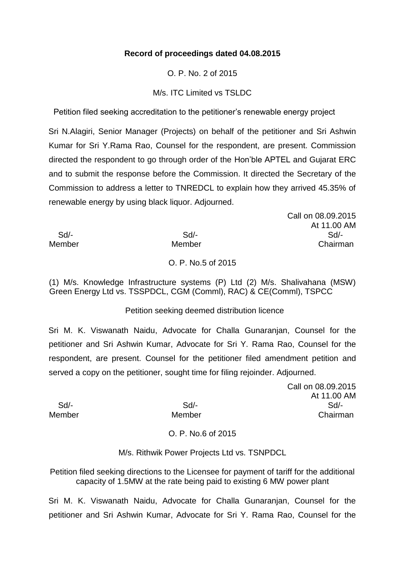## **Record of proceedings dated 04.08.2015**

O. P. No. 2 of 2015

M/s. ITC Limited vs TSLDC

Petition filed seeking accreditation to the petitioner's renewable energy project

Sri N.Alagiri, Senior Manager (Projects) on behalf of the petitioner and Sri Ashwin Kumar for Sri Y.Rama Rao, Counsel for the respondent, are present. Commission directed the respondent to go through order of the Hon'ble APTEL and Gujarat ERC and to submit the response before the Commission. It directed the Secretary of the Commission to address a letter to TNREDCL to explain how they arrived 45.35% of renewable energy by using black liquor. Adjourned.

 Sd/- Sd/- Sd/- Member Member Chairman

O. P. No.5 of 2015

(1) M/s. Knowledge Infrastructure systems (P) Ltd (2) M/s. Shalivahana (MSW) Green Energy Ltd vs. TSSPDCL, CGM (Comml), RAC) & CE(Comml), TSPCC

### Petition seeking deemed distribution licence

Sri M. K. Viswanath Naidu, Advocate for Challa Gunaranjan, Counsel for the petitioner and Sri Ashwin Kumar, Advocate for Sri Y. Rama Rao, Counsel for the respondent, are present. Counsel for the petitioner filed amendment petition and served a copy on the petitioner, sought time for filing rejoinder. Adjourned.

Call on 08.09.2015 At 11.00 AM Sd/- Sd/- Sd/- Member Member Chairman

Call on 08.09.2015

At 11.00 AM

# O. P. No.6 of 2015

M/s. Rithwik Power Projects Ltd vs. TSNPDCL

Petition filed seeking directions to the Licensee for payment of tariff for the additional capacity of 1.5MW at the rate being paid to existing 6 MW power plant

Sri M. K. Viswanath Naidu, Advocate for Challa Gunaranjan, Counsel for the petitioner and Sri Ashwin Kumar, Advocate for Sri Y. Rama Rao, Counsel for the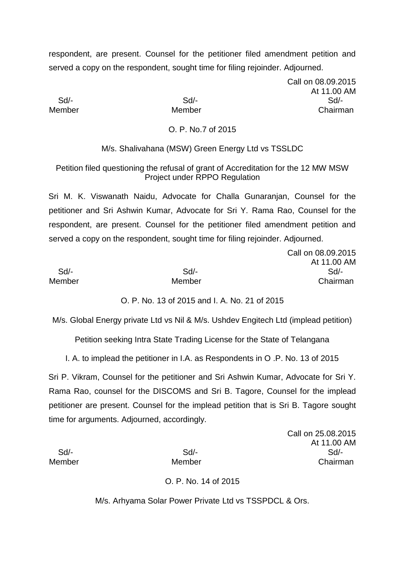respondent, are present. Counsel for the petitioner filed amendment petition and served a copy on the respondent, sought time for filing rejoinder. Adjourned.

Call on 08.09.2015 At 11.00 AM Sd/- Sd/- Sd/- Member Member Chairman

#### O. P. No.7 of 2015

M/s. Shalivahana (MSW) Green Energy Ltd vs TSSLDC

Petition filed questioning the refusal of grant of Accreditation for the 12 MW MSW Project under RPPO Regulation

Sri M. K. Viswanath Naidu, Advocate for Challa Gunaranjan, Counsel for the petitioner and Sri Ashwin Kumar, Advocate for Sri Y. Rama Rao, Counsel for the respondent, are present. Counsel for the petitioner filed amendment petition and served a copy on the respondent, sought time for filing rejoinder. Adjourned.

|        |        | Call on 08.09.2015 |
|--------|--------|--------------------|
|        |        | At 11.00 AM        |
| Sd/-   | Sd/-   | Sd/-               |
| Member | Member | Chairman           |

O. P. No. 13 of 2015 and I. A. No. 21 of 2015

M/s. Global Energy private Ltd vs Nil & M/s. Ushdev Engitech Ltd (implead petition)

Petition seeking Intra State Trading License for the State of Telangana

I. A. to implead the petitioner in I.A. as Respondents in O .P. No. 13 of 2015

Sri P. Vikram, Counsel for the petitioner and Sri Ashwin Kumar, Advocate for Sri Y. Rama Rao, counsel for the DISCOMS and Sri B. Tagore, Counsel for the implead petitioner are present. Counsel for the implead petition that is Sri B. Tagore sought time for arguments. Adjourned, accordingly.

Call on 25.08.2015 At 11.00 AM Sd/- Sd/- Sd/- Member Member Chairman

#### O. P. No. 14 of 2015

M/s. Arhyama Solar Power Private Ltd vs TSSPDCL & Ors.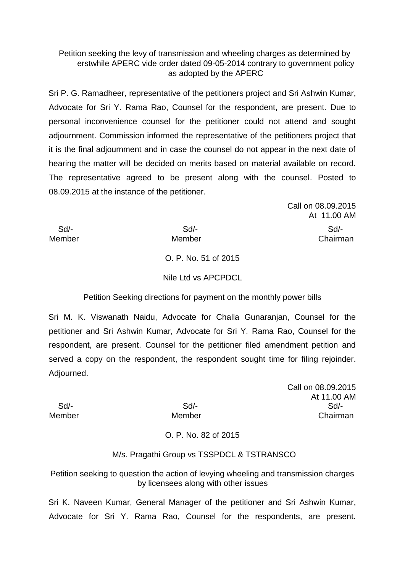## Petition seeking the levy of transmission and wheeling charges as determined by erstwhile APERC vide order dated 09-05-2014 contrary to government policy as adopted by the APERC

Sri P. G. Ramadheer, representative of the petitioners project and Sri Ashwin Kumar, Advocate for Sri Y. Rama Rao, Counsel for the respondent, are present. Due to personal inconvenience counsel for the petitioner could not attend and sought adjournment. Commission informed the representative of the petitioners project that it is the final adjournment and in case the counsel do not appear in the next date of hearing the matter will be decided on merits based on material available on record. The representative agreed to be present along with the counsel. Posted to 08.09.2015 at the instance of the petitioner.

Call on 08.09.2015 At 11.00 AM Sd/- Sd/- Sd/-

Member Member Chairman

O. P. No. 51 of 2015

Nile Ltd vs APCPDCL

Petition Seeking directions for payment on the monthly power bills

Sri M. K. Viswanath Naidu, Advocate for Challa Gunaranjan, Counsel for the petitioner and Sri Ashwin Kumar, Advocate for Sri Y. Rama Rao, Counsel for the respondent, are present. Counsel for the petitioner filed amendment petition and served a copy on the respondent, the respondent sought time for filing rejoinder. Adjourned.

Call on 08.09.2015 At 11.00 AM Sd/- Sd/- Sd/- Member Member Chairman

# O. P. No. 82 of 2015

### M/s. Pragathi Group vs TSSPDCL & TSTRANSCO

Petition seeking to question the action of levying wheeling and transmission charges by licensees along with other issues

Sri K. Naveen Kumar, General Manager of the petitioner and Sri Ashwin Kumar, Advocate for Sri Y. Rama Rao, Counsel for the respondents, are present.